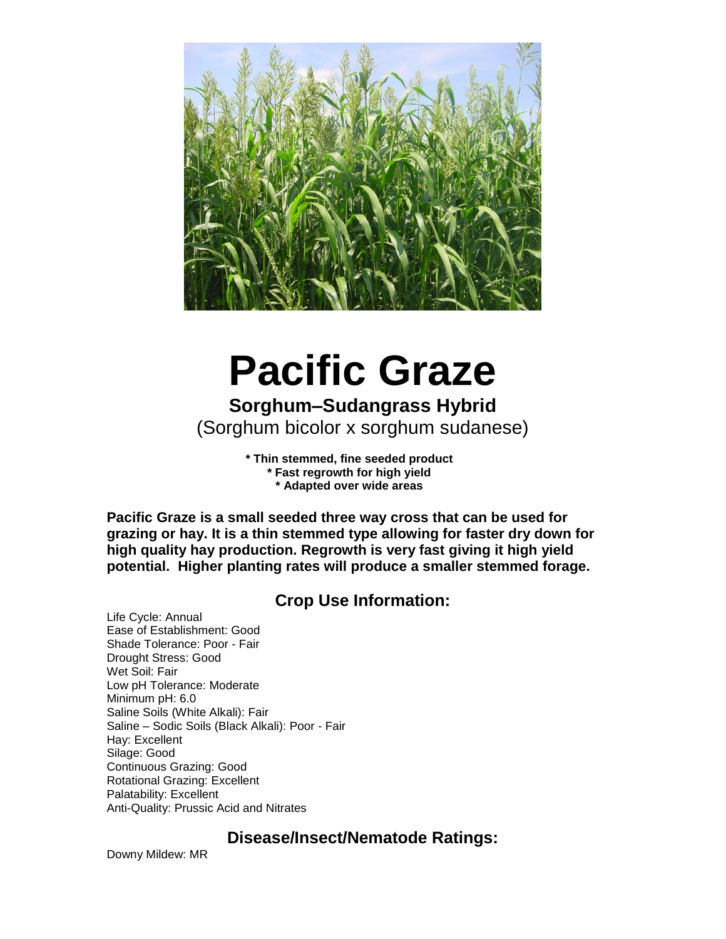

# **Pacific Graze**

# **Sorghum–Sudangrass Hybrid** (Sorghum bicolor x sorghum sudanese)

**\* Thin stemmed, fine seeded product \* Fast regrowth for high yield \* Adapted over wide areas**

**Pacific Graze is a small seeded three way cross that can be used for grazing or hay. It is a thin stemmed type allowing for faster dry down for high quality hay production. Regrowth is very fast giving it high yield potential. Higher planting rates will produce a smaller stemmed forage.**

## **Crop Use Information:**

Life Cycle: Annual Ease of Establishment: Good Shade Tolerance: Poor - Fair Drought Stress: Good Wet Soil: Fair Low pH Tolerance: Moderate Minimum pH: 6.0 Saline Soils (White Alkali): Fair Saline – Sodic Soils (Black Alkali): Poor - Fair Hay: Excellent Silage: Good Continuous Grazing: Good Rotational Grazing: Excellent Palatability: Excellent Anti-Quality: Prussic Acid and Nitrates

### **Disease/Insect/Nematode Ratings:**

Downy Mildew: MR